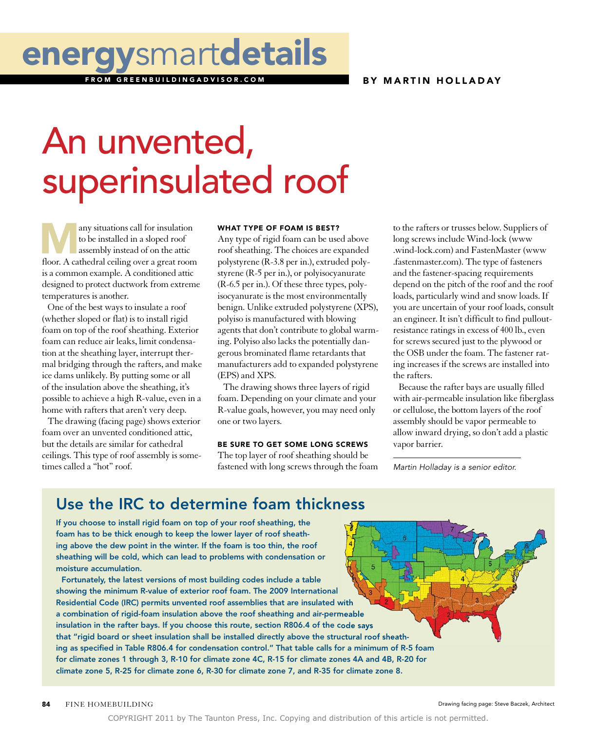#### BY MARTIN HOLLADAY

## energysmartdetails

GREENRUILDINGADVISOR COM

# An unvented, superinsulated roof

any situations call for insulation to be installed in a sloped roof assembly instead of on the attic floor. A cathedral ceiling over a great room is a common example. A conditioned attic designed to protect ductwork from extreme temperatures is another. any situations call for insulation<br>to the rafters or trusses below. Suppliers of<br>to be installed in a sloped roof<br>Any type of rigid foam can be used above<br>to the rafters or trusses below. Suppliers of<br>to be installed in a

One of the best ways to insulate a roof (whether sloped or flat) is to install rigid foam on top of the roof sheathing. Exterior foam can reduce air leaks, limit condensation at the sheathing layer, interrupt thermal bridging through the rafters, and make ice dams unlikely. By putting some or all of the insulation above the sheathing, it's possible to achieve a high R-value, even in a home with rafters that aren't very deep.

The drawing (facing page) shows exterior foam over an unvented conditioned attic, but the details are similar for cathedral ceilings. This type of roof assembly is sometimes called a "hot" roof.

#### WHAT TYPE OF FOAM IS BEST?

Any type of rigid foam can be used above roof sheathing. The choices are expanded polystyrene (R-3.8 per in.), extruded polystyrene (R-5 per in.), or polyisocyanurate (R-6.5 per in.). Of these three types, polyisocyanurate is the most environmentally benign. Unlike extruded polystyrene (XPS), polyiso is manufactured with blowing agents that don't contribute to global warming. Polyiso also lacks the potentially dangerous brominated flame retardants that manufacturers add to expanded polystyrene (EPS) and XPS.

The drawing shows three layers of rigid foam. Depending on your climate and your R-value goals, however, you may need only one or two layers.

#### BE SURE TO GET SOME LONG SCREWS

The top layer of roof sheathing should be fastened with long screws through the foam long screws include Wind-lock (www .wind-lock.com) and FastenMaster (www .fastenmaster.com). The type of fasteners and the fastener-spacing requirements depend on the pitch of the roof and the roof loads, particularly wind and snow loads. If you are uncertain of your roof loads, consult an engineer. It isn't difficult to find pulloutresistance ratings in excess of 400 lb., even for screws secured just to the plywood or the OSB under the foam. The fastener rating increases if the screws are installed into the rafters.

Because the rafter bays are usually filled with air-permeable insulation like fiberglass or cellulose, the bottom layers of the roof assembly should be vapor permeable to allow inward drying, so don't add a plastic vapor barrier.

*Martin Holladay is a senior editor.*

### Use the IRC to determine foam thickness

If you choose to install rigid foam on top of your roof sheathing, the foam has to be thick enough to keep the lower layer of roof sheathing above the dew point in the winter. If the foam is too thin, the roof sheathing will be cold, which can lead to problems with condensation or moisture accumulation.

Fortunately, the latest versions of most building codes include a table showing the minimum R-value of exterior roof foam. The 2009 International Residential Code (IRC) permits unvented roof assemblies that are insulated with a combination of rigid-foam insulation above the roof sheathing and air-permeable insulation in the rafter bays. If you choose this route, section R806.4 of the code says that "rigid board or sheet insulation shall be installed directly above the structural roof sheathing as specified in Table R806.4 for condensation control." That table calls for a minimum of R-5 foam for climate zones 1 through 3, R-10 for climate zone 4C, R-15 for climate zones 4A and 4B, R-20 for climate zone 5, R-25 for climate zone 6, R-30 for climate zone 7, and R-35 for climate zone 8.

84 FINE HOMEBUILDING

Drawing facing page: Steve Baczek, Architect

COPYRIGHT 2011 by The Taunton Press, Inc. Copying and distribution of this article is not permitted.